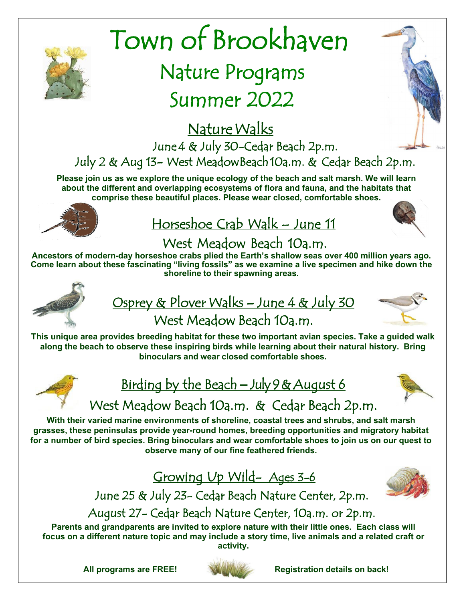

# Town of Brookhaven

# Nature Programs Summer 2022

Nature Walks June 4 & July 30-Cedar Beach 2p.m. July 2 & Aug 13- West Meadow Beach 10a.m. & Cedar Beach 2p.m.

**Please join us as we explore the unique ecology of the beach and salt marsh. We will learn about the different and overlapping ecosystems of flora and fauna, and the habitats that comprise these beautiful places. Please wear closed, comfortable shoes.**



# <u> Horseshoe Crab Walk – June 11</u>



### West Meadow Beach 10a.m.

**Ancestors of modern-day horseshoe crabs plied the Earth's shallow seas over 400 million years ago. Come learn about these fascinating "living fossils" as we examine a live specimen and hike down the shoreline to their spawning areas.**



## Osprey & Plover Walks - June 4 & July 30 West Meadow Beach 10a.m.



**This unique area provides breeding habitat for these two important avian species. Take a guided walk along the beach to observe these inspiring birds while learning about their natural history. Bring binoculars and wear closed comfortable shoes.**



# Birding by the Beach **–** July 9 & August 6



# West Meadow Beach 10a.m. & Cedar Beach 2p.m.

**With their varied marine environments of shoreline, coastal trees and shrubs, and salt marsh grasses, these peninsulas provide year-round homes, breeding opportunities and migratory habitat for a number of bird species. Bring binoculars and wear comfortable shoes to join us on our quest to observe many of our fine feathered friends.**

Growing Up Wild- Ages 3-6



June 25 & July 23- Cedar Beach Nature Center, 2p.m.

August 27- Cedar Beach Nature Center, 10a.m. or 2p.m.

**Parents and grandparents are invited to explore nature with their little ones. Each class will focus on a different nature topic and may include a story time, live animals and a related craft or activity.**



**All programs are FREE! Registration details on back!**